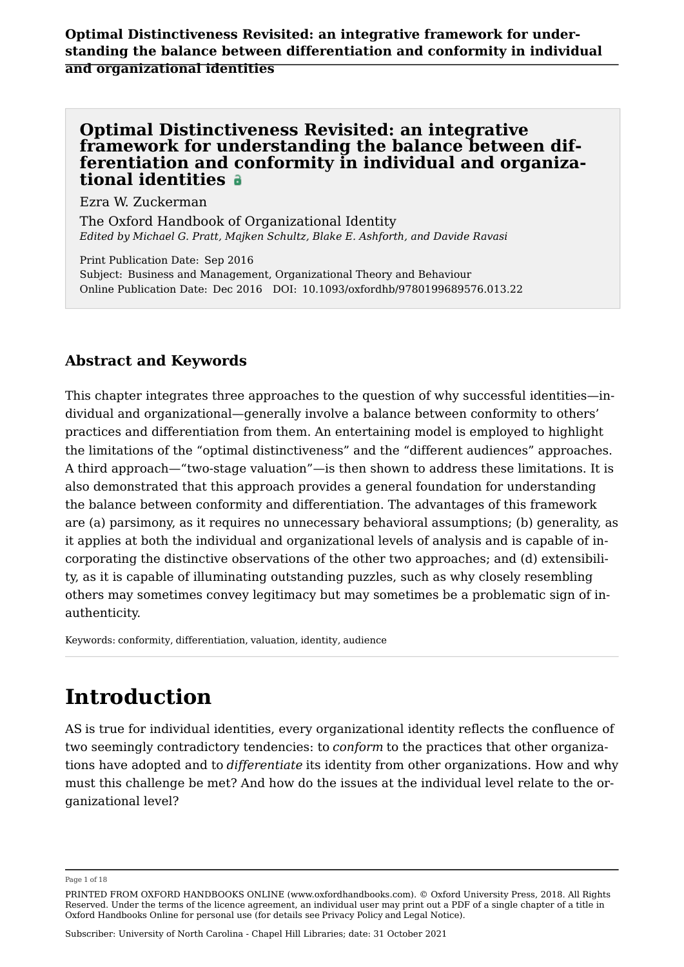#### Optimal Distinctiveness Revisited: an integrative framework for understanding the balance between differentiation and conformity in individual and organizational identities

Ezra W. Zuckerman

[The Oxford Handbook of Organizational Identity](https://www.oxfordhandbooks.com/view/10.1093/oxfordhb/9780199689576.001.0001/oxfordhb-9780199689576) *Edited by Michael G. Pratt, Majken Schultz, Blake E. Ashforth, and Davide Ravasi*

Print Publication Date: Sep 2016 Subject: Business and Management, Organizational Theory and Behaviour Online Publication Date: Dec 2016 DOI: 10.1093/oxfordhb/9780199689576.013.22

#### Abstract and Keywords

This chapter integrates three approaches to the question of why successful identities—individual and organizational—generally involve a balance between conformity to others' practices and differentiation from them. An entertaining model is employed to highlight the limitations of the "optimal distinctiveness" and the "different audiences" approaches. A third approach—"two-stage valuation"—is then shown to address these limitations. It is also demonstrated that this approach provides a general foundation for understanding the balance between conformity and differentiation. The advantages of this framework are (a) parsimony, as it requires no unnecessary behavioral assumptions; (b) generality, as it applies at both the individual and organizational levels of analysis and is capable of incorporating the distinctive observations of the other two approaches; and (d) extensibility, as it is capable of illuminating outstanding puzzles, such as why closely resembling others may sometimes convey legitimacy but may sometimes be a problematic sign of inauthenticity.

Keywords: [conformity](https://www.oxfordhandbooks.com/search?f_0=keyword&q_0=conformity), [differentiation](https://www.oxfordhandbooks.com/search?f_0=keyword&q_0=differentiation), [valuation](https://www.oxfordhandbooks.com/search?f_0=keyword&q_0=valuation), [identity,](https://www.oxfordhandbooks.com/search?f_0=keyword&q_0=identity) [audience](https://www.oxfordhandbooks.com/search?f_0=keyword&q_0=audience)

### Introduction

AS is true for individual identities, every organizational identity reflects the confluence of two seemingly contradictory tendencies: to *conform* to the practices that other organizations have adopted and to *differentiate* its identity from other organizations. How and why must this challenge be met? And how do the issues at the individual level relate to the organizational level?

Page 1 of 18

PRINTED FROM OXFORD HANDBOOKS ONLINE (www.oxfordhandbooks.com). © Oxford University Press, 2018. All Rights Reserved. Under the terms of the licence agreement, an individual user may print out a PDF of a single chapter of a title in Oxford Handbooks Online for personal use (for details see [Privacy Policy](https://global.oup.com/privacy) and [Legal Notice\)](https://www.oxfordhandbooks.com/page/legal-notice).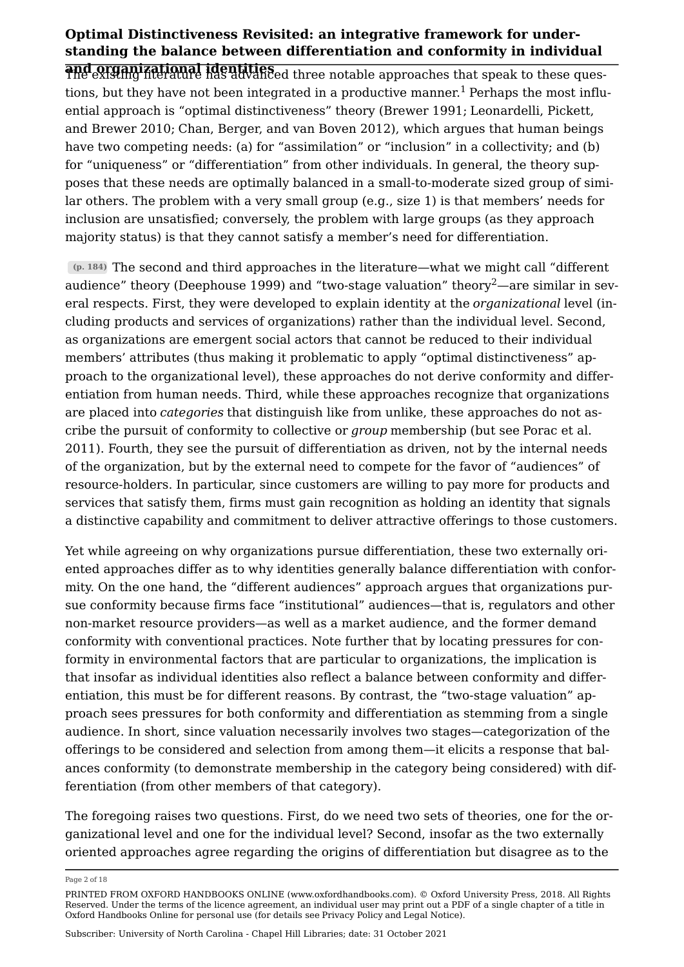<span id="page-1-0"></span>and organizational identities The existing literature has advanced three notable approaches that speak to these ques-tions, but they have not been integrated in a productive manner.<sup>[1](#page-16-0)</sup> Perhaps the most influential approach is "optimal distinctiveness" theory ([Brewer 1991](#page-13-0); [Leonardelli, Pickett,](#page-14-0) [and Brewer 2010;](#page-14-0) [Chan, Berger, and van Boven 2012](#page-13-1)), which argues that human beings have two competing needs: (a) for "assimilation" or "inclusion" in a collectivity; and (b) for "uniqueness" or "differentiation" from other individuals. In general, the theory supposes that these needs are optimally balanced in a small-to-moderate sized group of similar others. The problem with a very small group (e.g., size 1) is that members' needs for inclusion are unsatisfied; conversely, the problem with large groups (as they approach majority status) is that they cannot satisfy a member's need for differentiation.

<span id="page-1-1"></span>(p. 184) The second and third approaches in the literature—what we might call "different audience" theory ([Deephouse 1999](#page-13-2)) and "two-stage valuation" theory<sup>[2](#page-16-1)</sup>—are similar in several respects. First, they were developed to explain identity at the *organizational* level (including products and services of organizations) rather than the individual level. Second, as organizations are emergent social actors that cannot be reduced to their individual members' attributes (thus making it problematic to apply "optimal distinctiveness" approach to the organizational level), these approaches do not derive conformity and differentiation from human needs. Third, while these approaches recognize that organizations are placed into *categories* that distinguish like from unlike, these approaches do not ascribe the pursuit of conformity to collective or *group* membership (but see [Porac et al.](#page-15-0) [2011](#page-15-0)). Fourth, they see the pursuit of differentiation as driven, not by the internal needs of the organization, but by the external need to compete for the favor of "audiences" of resource-holders. In particular, since customers are willing to pay more for products and services that satisfy them, firms must gain recognition as holding an identity that signals a distinctive capability and commitment to deliver attractive offerings to those customers.

Yet while agreeing on why organizations pursue differentiation, these two externally oriented approaches differ as to why identities generally balance differentiation with conformity. On the one hand, the "different audiences" approach argues that organizations pursue conformity because firms face "institutional" audiences—that is, regulators and other non-market resource providers—as well as a market audience, and the former demand conformity with conventional practices. Note further that by locating pressures for conformity in environmental factors that are particular to organizations, the implication is that insofar as individual identities also reflect a balance between conformity and differentiation, this must be for different reasons. By contrast, the "two-stage valuation" approach sees pressures for both conformity and differentiation as stemming from a single audience. In short, since valuation necessarily involves two stages—categorization of the offerings to be considered and selection from among them—it elicits a response that balances conformity (to demonstrate membership in the category being considered) with differentiation (from other members of that category).

The foregoing raises two questions. First, do we need two sets of theories, one for the organizational level and one for the individual level? Second, insofar as the two externally oriented approaches agree regarding the origins of differentiation but disagree as to the

Page 2 of 18

PRINTED FROM OXFORD HANDBOOKS ONLINE (www.oxfordhandbooks.com). © Oxford University Press, 2018. All Rights Reserved. Under the terms of the licence agreement, an individual user may print out a PDF of a single chapter of a title in Oxford Handbooks Online for personal use (for details see [Privacy Policy](https://global.oup.com/privacy) and [Legal Notice\)](https://www.oxfordhandbooks.com/page/legal-notice).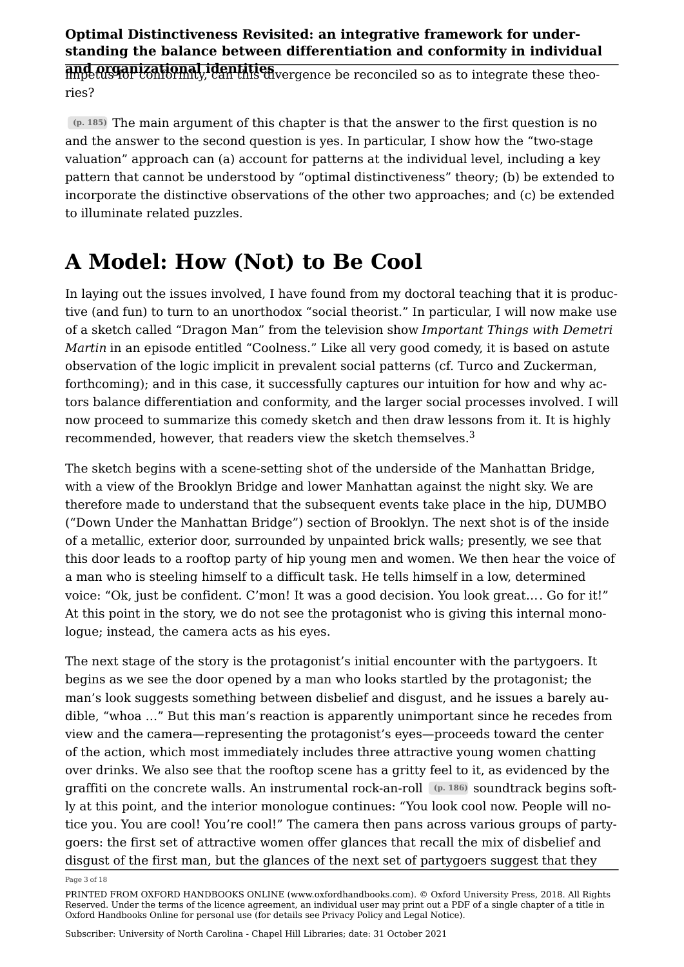and organizational identities impetus for conformity, can this divergence be reconciled so as to integrate these theories?

(p. 185) The main argument of this chapter is that the answer to the first question is no and the answer to the second question is yes. In particular, I show how the "two-stage valuation" approach can (a) account for patterns at the individual level, including a key pattern that cannot be understood by "optimal distinctiveness" theory; (b) be extended to incorporate the distinctive observations of the other two approaches; and (c) be extended to illuminate related puzzles.

## A Model: How (Not) to Be Cool

In laying out the issues involved, I have found from my doctoral teaching that it is productive (and fun) to turn to an unorthodox "social theorist." In particular, I will now make use of a sketch called "Dragon Man" from the television show *Important Things with Demetri Martin* in an episode entitled "Coolness." Like all very good comedy, it is based on astute observation of the logic implicit in prevalent social patterns (cf. Turco and Zuckerman, forthcoming); and in this case, it successfully captures our intuition for how and why actors balance differentiation and conformity, and the larger social processes involved. I will now proceed to summarize this comedy sketch and then draw lessons from it. It is highly recommended, however, that readers view the sketch themselves.[3](#page-16-2)

<span id="page-2-0"></span>The sketch begins with a scene-setting shot of the underside of the Manhattan Bridge, with a view of the Brooklyn Bridge and lower Manhattan against the night sky. We are therefore made to understand that the subsequent events take place in the hip, DUMBO ("Down Under the Manhattan Bridge") section of Brooklyn. The next shot is of the inside of a metallic, exterior door, surrounded by unpainted brick walls; presently, we see that this door leads to a rooftop party of hip young men and women. We then hear the voice of a man who is steeling himself to a difficult task. He tells himself in a low, determined voice: "Ok, just be confident. C'mon! It was a good decision. You look great… . Go for it!" At this point in the story, we do not see the protagonist who is giving this internal monologue; instead, the camera acts as his eyes.

The next stage of the story is the protagonist's initial encounter with the partygoers. It begins as we see the door opened by a man who looks startled by the protagonist; the man's look suggests something between disbelief and disgust, and he issues a barely audible, "whoa …" But this man's reaction is apparently unimportant since he recedes from view and the camera—representing the protagonist's eyes—proceeds toward the center of the action, which most immediately includes three attractive young women chatting over drinks. We also see that the rooftop scene has a gritty feel to it, as evidenced by the graffiti on the concrete walls. An instrumental rock-an-roll (p. 186) soundtrack begins softly at this point, and the interior monologue continues: "You look cool now. People will notice you. You are cool! You're cool!" The camera then pans across various groups of partygoers: the first set of attractive women offer glances that recall the mix of disbelief and disgust of the first man, but the glances of the next set of partygoers suggest that they

Page 3 of 18

PRINTED FROM OXFORD HANDBOOKS ONLINE (www.oxfordhandbooks.com). © Oxford University Press, 2018. All Rights Reserved. Under the terms of the licence agreement, an individual user may print out a PDF of a single chapter of a title in Oxford Handbooks Online for personal use (for details see [Privacy Policy](https://global.oup.com/privacy) and [Legal Notice\)](https://www.oxfordhandbooks.com/page/legal-notice).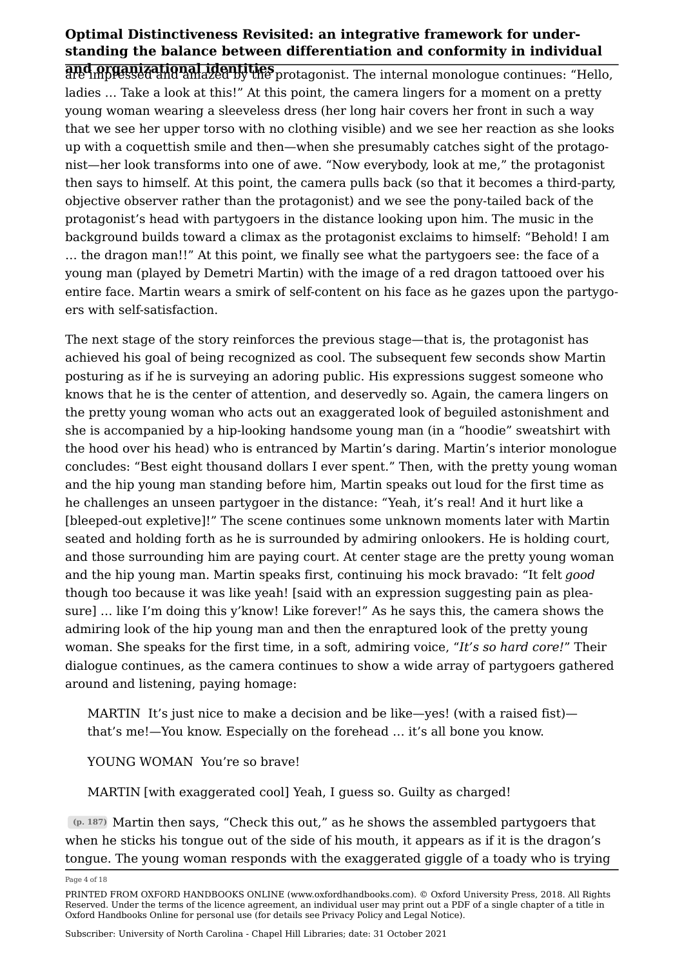and organizational identities are impressed and amazed by the protagonist. The internal monologue continues: "Hello, ladies … Take a look at this!" At this point, the camera lingers for a moment on a pretty young woman wearing a sleeveless dress (her long hair covers her front in such a way that we see her upper torso with no clothing visible) and we see her reaction as she looks up with a coquettish smile and then—when she presumably catches sight of the protagonist—her look transforms into one of awe. "Now everybody, look at me," the protagonist then says to himself. At this point, the camera pulls back (so that it becomes a third-party, objective observer rather than the protagonist) and we see the pony-tailed back of the protagonist's head with partygoers in the distance looking upon him. The music in the background builds toward a climax as the protagonist exclaims to himself: "Behold! I am … the dragon man!!" At this point, we finally see what the partygoers see: the face of a young man (played by Demetri Martin) with the image of a red dragon tattooed over his entire face. Martin wears a smirk of self-content on his face as he gazes upon the partygoers with self-satisfaction.

The next stage of the story reinforces the previous stage—that is, the protagonist has achieved his goal of being recognized as cool. The subsequent few seconds show Martin posturing as if he is surveying an adoring public. His expressions suggest someone who knows that he is the center of attention, and deservedly so. Again, the camera lingers on the pretty young woman who acts out an exaggerated look of beguiled astonishment and she is accompanied by a hip-looking handsome young man (in a "hoodie" sweatshirt with the hood over his head) who is entranced by Martin's daring. Martin's interior monologue concludes: "Best eight thousand dollars I ever spent." Then, with the pretty young woman and the hip young man standing before him, Martin speaks out loud for the first time as he challenges an unseen partygoer in the distance: "Yeah, it's real! And it hurt like a [bleeped-out expletive]!" The scene continues some unknown moments later with Martin seated and holding forth as he is surrounded by admiring onlookers. He is holding court, and those surrounding him are paying court. At center stage are the pretty young woman and the hip young man. Martin speaks first, continuing his mock bravado: "It felt *good* though too because it was like yeah! [said with an expression suggesting pain as pleasure] … like I'm doing this y'know! Like forever!" As he says this, the camera shows the admiring look of the hip young man and then the enraptured look of the pretty young woman. She speaks for the first time, in a soft, admiring voice, "It's so hard core!" Their dialogue continues, as the camera continues to show a wide array of partygoers gathered around and listening, paying homage:

MARTIN It's just nice to make a decision and be like—yes! (with a raised fist) that's me!—You know. Especially on the forehead … it's all bone you know.

YOUNG WOMAN You're so brave!

MARTIN [with exaggerated cool] Yeah, I guess so. Guilty as charged!

(p. 187) Martin then says, "Check this out," as he shows the assembled partygoers that when he sticks his tongue out of the side of his mouth, it appears as if it is the dragon's tongue. The young woman responds with the exaggerated giggle of a toady who is trying

Page 4 of 18

PRINTED FROM OXFORD HANDBOOKS ONLINE (www.oxfordhandbooks.com). © Oxford University Press, 2018. All Rights Reserved. Under the terms of the licence agreement, an individual user may print out a PDF of a single chapter of a title in Oxford Handbooks Online for personal use (for details see [Privacy Policy](https://global.oup.com/privacy) and [Legal Notice\)](https://www.oxfordhandbooks.com/page/legal-notice).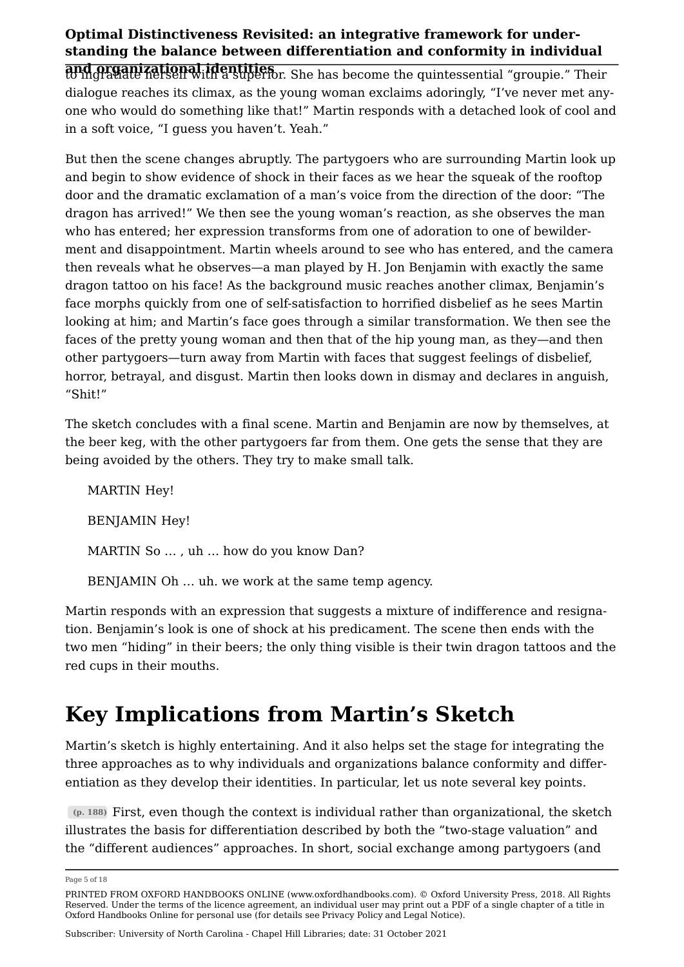and organizational identities to ingratiate herself with a superior. She has become the quintessential "groupie." Their dialogue reaches its climax, as the young woman exclaims adoringly, "I've never met anyone who would do something like that!" Martin responds with a detached look of cool and in a soft voice, "I guess you haven't. Yeah."

But then the scene changes abruptly. The partygoers who are surrounding Martin look up and begin to show evidence of shock in their faces as we hear the squeak of the rooftop door and the dramatic exclamation of a man's voice from the direction of the door: "The dragon has arrived!" We then see the young woman's reaction, as she observes the man who has entered; her expression transforms from one of adoration to one of bewilderment and disappointment. Martin wheels around to see who has entered, and the camera then reveals what he observes—a man played by H. Jon Benjamin with exactly the same dragon tattoo on his face! As the background music reaches another climax, Benjamin's face morphs quickly from one of self-satisfaction to horrified disbelief as he sees Martin looking at him; and Martin's face goes through a similar transformation. We then see the faces of the pretty young woman and then that of the hip young man, as they—and then other partygoers—turn away from Martin with faces that suggest feelings of disbelief, horror, betrayal, and disgust. Martin then looks down in dismay and declares in anguish, "Shit!"

The sketch concludes with a final scene. Martin and Benjamin are now by themselves, at the beer keg, with the other partygoers far from them. One gets the sense that they are being avoided by the others. They try to make small talk.

MARTIN Hey! BENJAMIN Hey! MARTIN So … , uh … how do you know Dan? BENJAMIN Oh … uh. we work at the same temp agency.

Martin responds with an expression that suggests a mixture of indifference and resignation. Benjamin's look is one of shock at his predicament. The scene then ends with the two men "hiding" in their beers; the only thing visible is their twin dragon tattoos and the red cups in their mouths.

## Key Implications from Martin's Sketch

Martin's sketch is highly entertaining. And it also helps set the stage for integrating the three approaches as to why individuals and organizations balance conformity and differentiation as they develop their identities. In particular, let us note several key points.

 $(p. 188)$  First, even though the context is individual rather than organizational, the sketch illustrates the basis for differentiation described by both the "two-stage valuation" and the "different audiences" approaches. In short, social exchange among partygoers (and

Page 5 of 18

PRINTED FROM OXFORD HANDBOOKS ONLINE (www.oxfordhandbooks.com). © Oxford University Press, 2018. All Rights Reserved. Under the terms of the licence agreement, an individual user may print out a PDF of a single chapter of a title in Oxford Handbooks Online for personal use (for details see [Privacy Policy](https://global.oup.com/privacy) and [Legal Notice\)](https://www.oxfordhandbooks.com/page/legal-notice).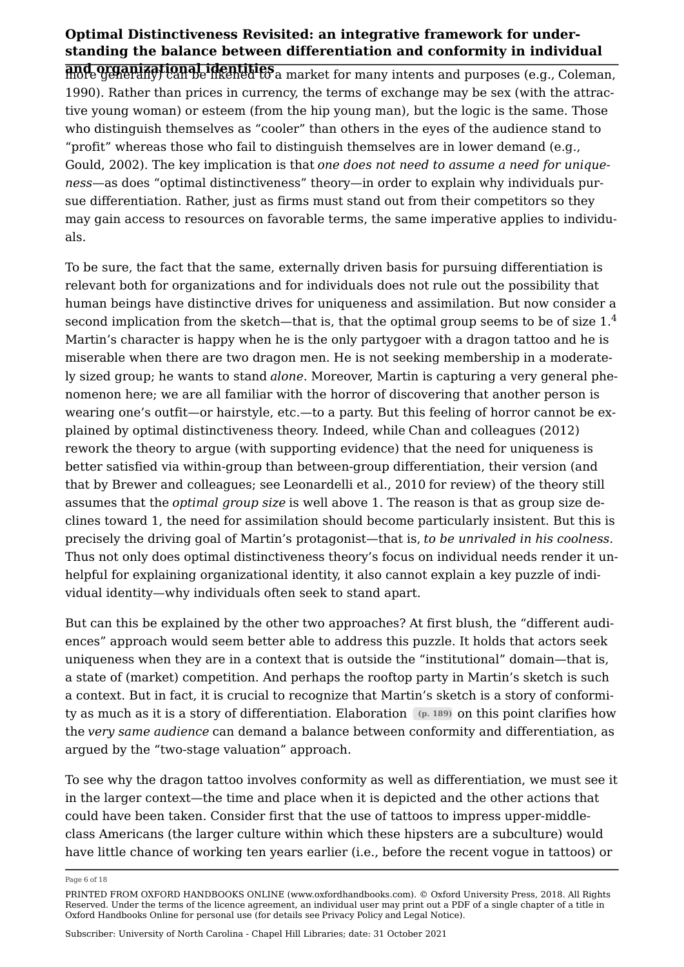and organizational identities more generally) can be likened to a market for many intents and purposes (e.g., [Coleman,](#page-13-3) [1990](#page-13-3)). Rather than prices in currency, the terms of exchange may be sex (with the attractive young woman) or esteem (from the hip young man), but the logic is the same. Those who distinguish themselves as "cooler" than others in the eyes of the audience stand to "profit" whereas those who fail to distinguish themselves are in lower demand (e.g., [Gould, 2002\)](#page-14-1). The key implication is that one does not need to assume a need for unique*ness*—as does "optimal distinctiveness" theory—in order to explain why individuals pursue differentiation. Rather, just as firms must stand out from their competitors so they may gain access to resources on favorable terms, the same imperative applies to individuals.

<span id="page-5-0"></span>To be sure, the fact that the same, externally driven basis for pursuing differentiation is relevant both for organizations and for individuals does not rule out the possibility that human beings have distinctive drives for uniqueness and assimilation. But now consider a second implication from the sketch—that is, that the optimal group seems to be of size  $1<sup>4</sup>$  $1<sup>4</sup>$  $1<sup>4</sup>$ Martin's character is happy when he is the only partygoer with a dragon tattoo and he is miserable when there are two dragon men. He is not seeking membership in a moderately sized group; he wants to stand *alone*. Moreover, Martin is capturing a very general phenomenon here; we are all familiar with the horror of discovering that another person is wearing one's outfit—or hairstyle, etc.—to a party. But this feeling of horror cannot be explained by optimal distinctiveness theory. Indeed, while [Chan and colleagues \(2012\)](#page-13-1) rework the theory to argue (with supporting evidence) that the need for uniqueness is better satisfied via within-group than between-group differentiation, their version (and that by Brewer and colleagues; see [Leonardelli et al., 2010](#page-14-0) for review) of the theory still assumes that the *optimal group size* is well above 1. The reason is that as group size declines toward 1, the need for assimilation should become particularly insistent. But this is precisely the driving goal of Martin's protagonist—that is, *to be unrivaled in his coolness*. Thus not only does optimal distinctiveness theory's focus on individual needs render it unhelpful for explaining organizational identity, it also cannot explain a key puzzle of individual identity—why individuals often seek to stand apart.

But can this be explained by the other two approaches? At first blush, the "different audiences" approach would seem better able to address this puzzle. It holds that actors seek uniqueness when they are in a context that is outside the "institutional" domain—that is, a state of (market) competition. And perhaps the rooftop party in Martin's sketch is such a context. But in fact, it is crucial to recognize that Martin's sketch is a story of conformity as much as it is a story of differentiation. Elaboration (p. 189) on this point clarifies how the *very same audience* can demand a balance between conformity and differentiation, as argued by the "two-stage valuation" approach.

To see why the dragon tattoo involves conformity as well as differentiation, we must see it in the larger context—the time and place when it is depicted and the other actions that could have been taken. Consider first that the use of tattoos to impress upper-middleclass Americans (the larger culture within which these hipsters are a subculture) would have little chance of working ten years earlier (i.e., before the recent vogue in tattoos) or

Page 6 of 18

PRINTED FROM OXFORD HANDBOOKS ONLINE (www.oxfordhandbooks.com). © Oxford University Press, 2018. All Rights Reserved. Under the terms of the licence agreement, an individual user may print out a PDF of a single chapter of a title in Oxford Handbooks Online for personal use (for details see [Privacy Policy](https://global.oup.com/privacy) and [Legal Notice\)](https://www.oxfordhandbooks.com/page/legal-notice).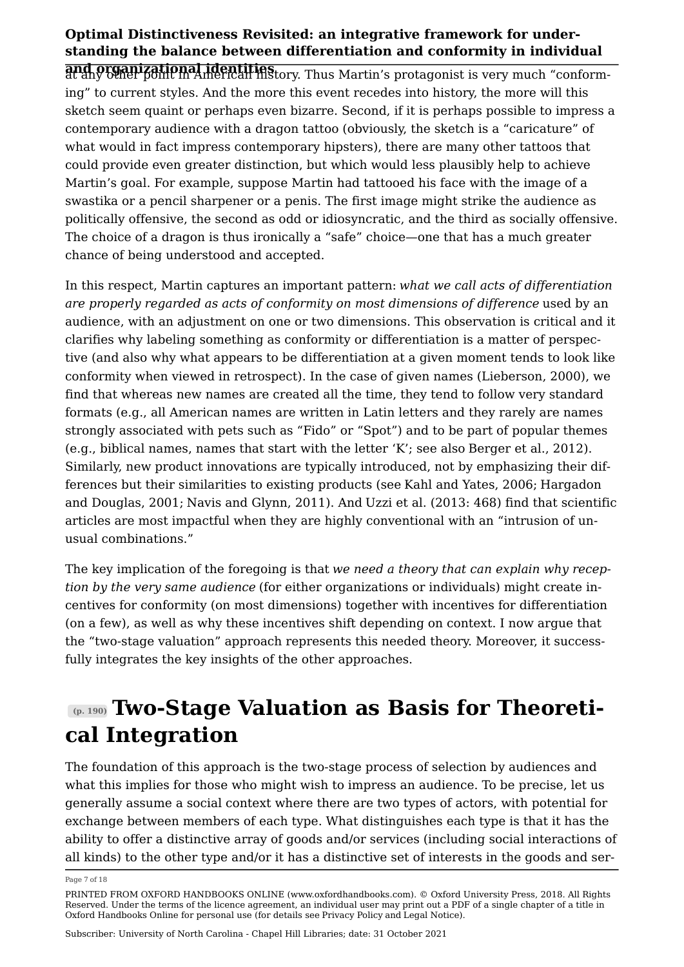and organizational identities at any other point in American history. Thus Martin's protagonist is very much "conforming" to current styles. And the more this event recedes into history, the more will this sketch seem quaint or perhaps even bizarre. Second, if it is perhaps possible to impress a contemporary audience with a dragon tattoo (obviously, the sketch is a "caricature" of what would in fact impress contemporary hipsters), there are many other tattoos that could provide even greater distinction, but which would less plausibly help to achieve Martin's goal. For example, suppose Martin had tattooed his face with the image of a swastika or a pencil sharpener or a penis. The first image might strike the audience as politically offensive, the second as odd or idiosyncratic, and the third as socially offensive. The choice of a dragon is thus ironically a "safe" choice—one that has a much greater chance of being understood and accepted.

In this respect, Martin captures an important pattern: *what we call acts of differentiation are properly regarded as acts of conformity on most dimensions of difference* used by an audience, with an adjustment on one or two dimensions. This observation is critical and it clarifies why labeling something as conformity or differentiation is a matter of perspective (and also why what appears to be differentiation at a given moment tends to look like conformity when viewed in retrospect). In the case of given names [\(Lieberson, 2000\)](#page-14-2), we find that whereas new names are created all the time, they tend to follow very standard formats (e.g., all American names are written in Latin letters and they rarely are names strongly associated with pets such as "Fido" or "Spot") and to be part of popular themes (e.g., biblical names, names that start with the letter 'K'; see also [Berger et al., 2012](#page-13-4)). Similarly, new product innovations are typically introduced, not by emphasizing their differences but their similarities to existing products (see [Kahl and Yates, 2006](#page-14-3); [Hargadon](#page-14-4)  [and Douglas, 2001](#page-14-4); [Navis and Glynn, 2011\)](#page-14-5). And [Uzzi et al. \(2013:](#page-16-4) 468) find that scientific articles are most impactful when they are highly conventional with an "intrusion of unusual combinations."

The key implication of the foregoing is that we need a theory that can explain why recep*tion by the very same audience* (for either organizations or individuals) might create incentives for conformity (on most dimensions) together with incentives for differentiation (on a few), as well as why these incentives shift depending on context. I now argue that the "two-stage valuation" approach represents this needed theory. Moreover, it successfully integrates the key insights of the other approaches.

## (p. 190) Two-Stage Valuation as Basis for Theoretical Integration

The foundation of this approach is the two-stage process of selection by audiences and what this implies for those who might wish to impress an audience. To be precise, let us generally assume a social context where there are two types of actors, with potential for exchange between members of each type. What distinguishes each type is that it has the ability to offer a distinctive array of goods and/or services (including social interactions of all kinds) to the other type and/or it has a distinctive set of interests in the goods and ser

Page 7 of 18

PRINTED FROM OXFORD HANDBOOKS ONLINE (www.oxfordhandbooks.com). © Oxford University Press, 2018. All Rights Reserved. Under the terms of the licence agreement, an individual user may print out a PDF of a single chapter of a title in Oxford Handbooks Online for personal use (for details see [Privacy Policy](https://global.oup.com/privacy) and [Legal Notice\)](https://www.oxfordhandbooks.com/page/legal-notice).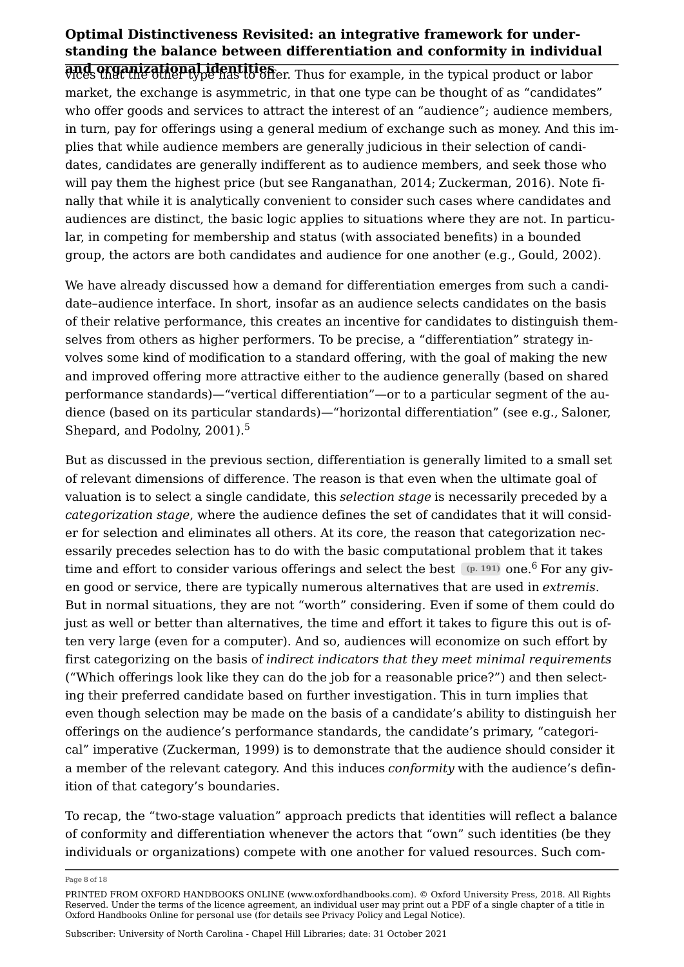and organizational identities vices that the other type has to offer. Thus for example, in the typical product or labor market, the exchange is asymmetric, in that one type can be thought of as "candidates" who offer goods and services to attract the interest of an "audience"; audience members, in turn, pay for offerings using a general medium of exchange such as money. And this implies that while audience members are generally judicious in their selection of candidates, candidates are generally indifferent as to audience members, and seek those who will pay them the highest price (but see [Ranganathan, 2014;](#page-15-1) [Zuckerman, 2016](#page-16-5)). Note finally that while it is analytically convenient to consider such cases where candidates and audiences are distinct, the basic logic applies to situations where they are not. In particular, in competing for membership and status (with associated benefits) in a bounded group, the actors are both candidates and audience for one another (e.g., [Gould, 2002](#page-14-1)).

We have already discussed how a demand for differentiation emerges from such a candidate–audience interface. In short, insofar as an audience selects candidates on the basis of their relative performance, this creates an incentive for candidates to distinguish themselves from others as higher performers. To be precise, a "differentiation" strategy involves some kind of modification to a standard offering, with the goal of making the new and improved offering more attractive either to the audience generally (based on shared performance standards)—"vertical differentiation"—or to a particular segment of the audience (based on its particular standards)—"horizontal differentiation" (see e.g., [Saloner,](#page-15-2)  [Shepard, and Podolny, 2001](#page-15-2)).<sup>[5](#page-16-6)</sup>

<span id="page-7-1"></span><span id="page-7-0"></span>But as discussed in the previous section, differentiation is generally limited to a small set of relevant dimensions of difference. The reason is that even when the ultimate goal of valuation is to select a single candidate, this *selection stage* is necessarily preceded by a *categorization stage*, where the audience defines the set of candidates that it will consider for selection and eliminates all others. At its core, the reason that categorization necessarily precedes selection has to do with the basic computational problem that it takes time and effort to consider various offerings and select the best  $(p. 191)$  one.<sup>[6](#page-16-7)</sup> For any given good or service, there are typically numerous alternatives that are used in *extremis*. But in normal situations, they are not "worth" considering. Even if some of them could do just as well or better than alternatives, the time and effort it takes to figure this out is often very large (even for a computer). And so, audiences will economize on such effort by first categorizing on the basis of *indirect indicators that they meet minimal requirements* ("Which offerings look like they can do the job for a reasonable price?") and then selecting their preferred candidate based on further investigation. This in turn implies that even though selection may be made on the basis of a candidate's ability to distinguish her offerings on the audience's performance standards, the candidate's primary, "categorical" imperative ([Zuckerman, 1999](#page-16-8)) is to demonstrate that the audience should consider it a member of the relevant category. And this induces *conformity* with the audience's definition of that category's boundaries.

To recap, the "two-stage valuation" approach predicts that identities will reflect a balance of conformity and differentiation whenever the actors that "own" such identities (be they individuals or organizations) compete with one another for valued resources. Such com

Page 8 of 18

PRINTED FROM OXFORD HANDBOOKS ONLINE (www.oxfordhandbooks.com). © Oxford University Press, 2018. All Rights Reserved. Under the terms of the licence agreement, an individual user may print out a PDF of a single chapter of a title in Oxford Handbooks Online for personal use (for details see [Privacy Policy](https://global.oup.com/privacy) and [Legal Notice\)](https://www.oxfordhandbooks.com/page/legal-notice).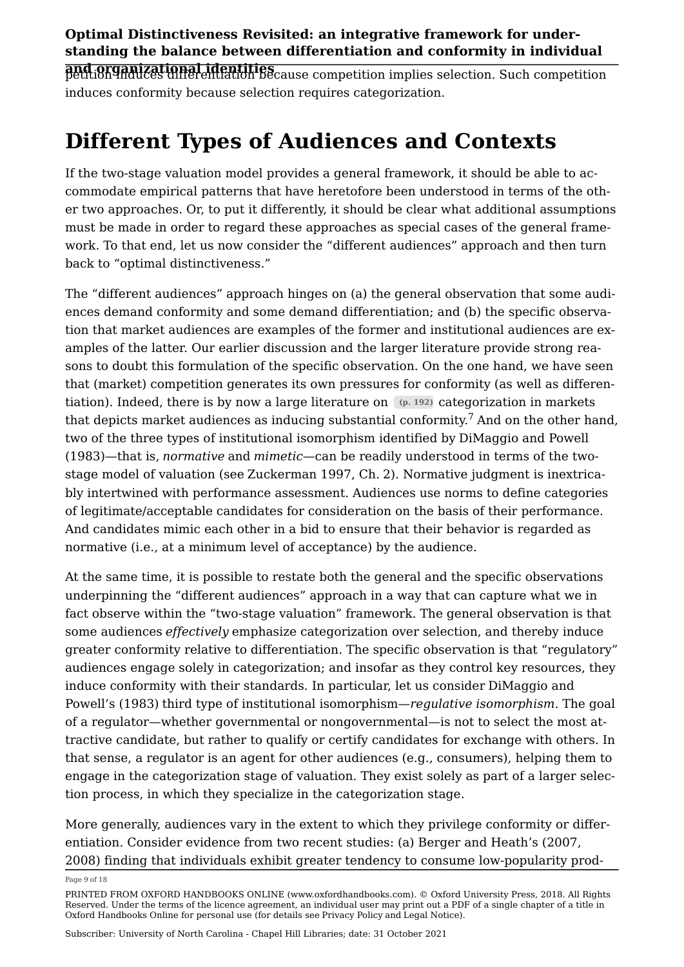and organizational identities<br>petition induces differentiation because competition implies selection. Such competition induces conformity because selection requires categorization.

## Different Types of Audiences and Contexts

If the two-stage valuation model provides a general framework, it should be able to accommodate empirical patterns that have heretofore been understood in terms of the other two approaches. Or, to put it differently, it should be clear what additional assumptions must be made in order to regard these approaches as special cases of the general framework. To that end, let us now consider the "different audiences" approach and then turn back to "optimal distinctiveness."

<span id="page-8-0"></span>The "different audiences" approach hinges on (a) the general observation that some audiences demand conformity and some demand differentiation; and (b) the specific observation that market audiences are examples of the former and institutional audiences are examples of the latter. Our earlier discussion and the larger literature provide strong reasons to doubt this formulation of the specific observation. On the one hand, we have seen that (market) competition generates its own pressures for conformity (as well as differentiation). Indeed, there is by now a large literature on  $(p. 192)$  categorization in markets that depicts market audiences as inducing substantial conformity.<sup>[7](#page-16-9)</sup> And on the other hand, two of the three types of institutional isomorphism identified by [DiMaggio and Powell](#page-14-6)  [\(1983\)](#page-14-6)—that is, *normative* and *mimetic*—can be readily understood in terms of the twostage model of valuation (see [Zuckerman 1997,](#page-16-10) Ch. [2](https://www.oxfordhandbooks.com/view/10.1093/oxfordhb/9780199689576.001.0001/oxfordhb-9780199689576-e-3#)). Normative judgment is inextricably intertwined with performance assessment. Audiences use norms to define categories of legitimate/acceptable candidates for consideration on the basis of their performance. And candidates mimic each other in a bid to ensure that their behavior is regarded as normative (i.e., at a minimum level of acceptance) by the audience.

At the same time, it is possible to restate both the general and the specific observations underpinning the "different audiences" approach in a way that can capture what we in fact observe within the "two-stage valuation" framework. The general observation is that some audiences *effectively* emphasize categorization over selection, and thereby induce greater conformity relative to differentiation. The specific observation is that "regulatory" audiences engage solely in categorization; and insofar as they control key resources, they induce conformity with their standards. In particular, let us consider [DiMaggio and](#page-14-6)  [Powell's \(1983\)](#page-14-6) third type of institutional isomorphism—*regulative isomorphism*. The goal of a regulator—whether governmental or nongovernmental—is not to select the most attractive candidate, but rather to qualify or certify candidates for exchange with others. In that sense, a regulator is an agent for other audiences (e.g., consumers), helping them to engage in the categorization stage of valuation. They exist solely as part of a larger selection process, in which they specialize in the categorization stage.

More generally, audiences vary in the extent to which they privilege conformity or differentiation. Consider evidence from two recent studies: (a) Berger and Heath's ([2007,](#page-13-5) [2008](#page-13-6)) finding that individuals exhibit greater tendency to consume low-popularity prod

Page 9 of 18

PRINTED FROM OXFORD HANDBOOKS ONLINE (www.oxfordhandbooks.com). © Oxford University Press, 2018. All Rights Reserved. Under the terms of the licence agreement, an individual user may print out a PDF of a single chapter of a title in Oxford Handbooks Online for personal use (for details see [Privacy Policy](https://global.oup.com/privacy) and [Legal Notice\)](https://www.oxfordhandbooks.com/page/legal-notice).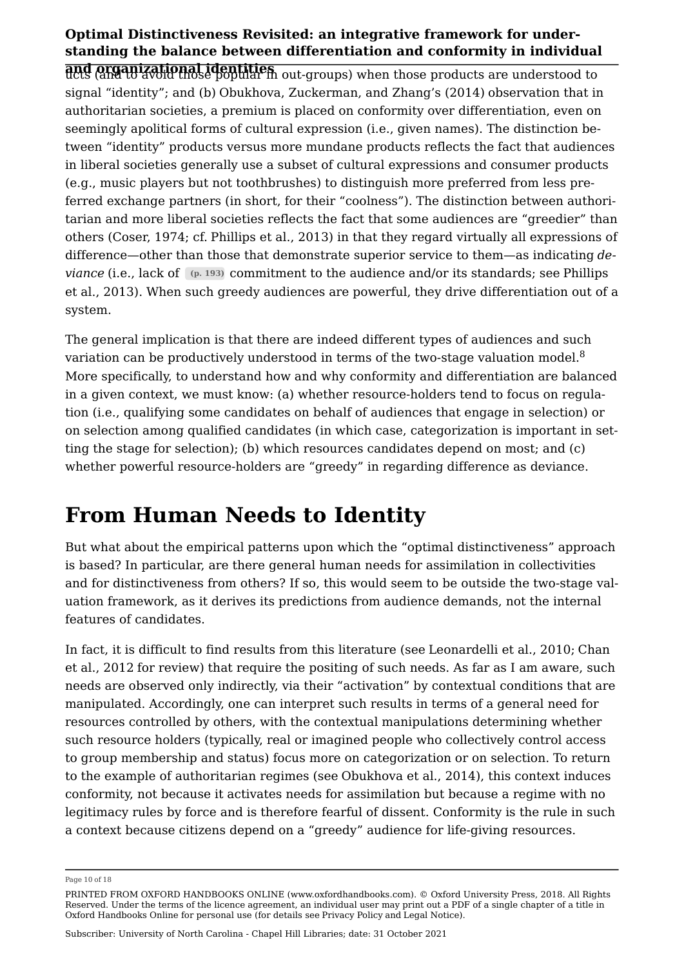and organizational identities ucts (and to avoid those popular in out-groups) when those products are understood to signal "identity"; and (b) [Obukhova, Zuckerman, and Zhang's \(2014\)](#page-14-7) observation that in authoritarian societies, a premium is placed on conformity over differentiation, even on seemingly apolitical forms of cultural expression (i.e., given names). The distinction between "identity" products versus more mundane products reflects the fact that audiences in liberal societies generally use a subset of cultural expressions and consumer products (e.g., music players but not toothbrushes) to distinguish more preferred from less preferred exchange partners (in short, for their "coolness"). The distinction between authoritarian and more liberal societies reflects the fact that some audiences are "greedier" than others [\(Coser, 1974](#page-13-7); cf. [Phillips et al., 2013](#page-15-3)) in that they regard virtually all expressions of difference—other than those that demonstrate superior service to them—as indicating de*viance* (i.e., lack of (p. 193) commitment to the audience and/or its standards; see Phillips [et al., 2013\)](#page-15-3). When such greedy audiences are powerful, they drive differentiation out of a system.

<span id="page-9-0"></span>The general implication is that there are indeed different types of audiences and such variation can be productively understood in terms of the two-stage valuation model.<sup>[8](#page-17-0)</sup> More specifically, to understand how and why conformity and differentiation are balanced in a given context, we must know: (a) whether resource-holders tend to focus on regulation (i.e., qualifying some candidates on behalf of audiences that engage in selection) or on selection among qualified candidates (in which case, categorization is important in setting the stage for selection); (b) which resources candidates depend on most; and (c) whether powerful resource-holders are "greedy" in regarding difference as deviance.

### From Human Needs to Identity

But what about the empirical patterns upon which the "optimal distinctiveness" approach is based? In particular, are there general human needs for assimilation in collectivities and for distinctiveness from others? If so, this would seem to be outside the two-stage valuation framework, as it derives its predictions from audience demands, not the internal features of candidates.

In fact, it is difficult to find results from this literature (see [Leonardelli et al., 2010](#page-14-0); [Chan](#page-13-1) [et al., 2012](#page-13-1) for review) that require the positing of such needs. As far as I am aware, such needs are observed only indirectly, via their "activation" by contextual conditions that are manipulated. Accordingly, one can interpret such results in terms of a general need for resources controlled by others, with the contextual manipulations determining whether such resource holders (typically, real or imagined people who collectively control access to group membership and status) focus more on categorization or on selection. To return to the example of authoritarian regimes (see [Obukhova et al., 2014](#page-14-7)), this context induces conformity, not because it activates needs for assimilation but because a regime with no legitimacy rules by force and is therefore fearful of dissent. Conformity is the rule in such a context because citizens depend on a "greedy" audience for life-giving resources.

Page 10 of 18

PRINTED FROM OXFORD HANDBOOKS ONLINE (www.oxfordhandbooks.com). © Oxford University Press, 2018. All Rights Reserved. Under the terms of the licence agreement, an individual user may print out a PDF of a single chapter of a title in Oxford Handbooks Online for personal use (for details see [Privacy Policy](https://global.oup.com/privacy) and [Legal Notice\)](https://www.oxfordhandbooks.com/page/legal-notice).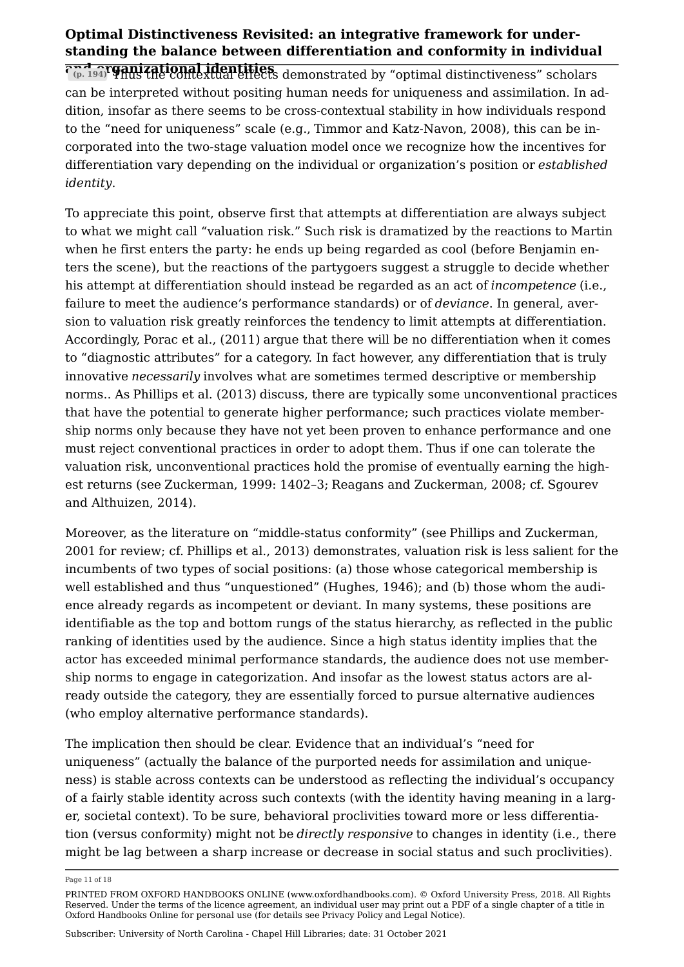and organizational identities (p. 194) Thus the contextual effects demonstrated by "optimal distinctiveness" scholars can be interpreted without positing human needs for uniqueness and assimilation. In addition, insofar as there seems to be cross-contextual stability in how individuals respond to the "need for uniqueness" scale (e.g., [Timmor and Katz-Navon, 2008](#page-15-4)), this can be incorporated into the two-stage valuation model once we recognize how the incentives for differentiation vary depending on the individual or organization's position or *established identity*.

To appreciate this point, observe first that attempts at differentiation are always subject to what we might call "valuation risk." Such risk is dramatized by the reactions to Martin when he first enters the party: he ends up being regarded as cool (before Benjamin enters the scene), but the reactions of the partygoers suggest a struggle to decide whether his attempt at differentiation should instead be regarded as an act of *incompetence* (i.e., failure to meet the audience's performance standards) or of *deviance*. In general, aversion to valuation risk greatly reinforces the tendency to limit attempts at differentiation. Accordingly, [Porac et al., \(2011\)](#page-15-0) argue that there will be no differentiation when it comes to "diagnostic attributes" for a category. In fact however, any differentiation that is truly innovative *necessarily* involves what are sometimes termed descriptive or membership norms.. As [Phillips et al. \(2013\)](#page-15-3) discuss, there are typically some unconventional practices that have the potential to generate higher performance; such practices violate membership norms only because they have not yet been proven to enhance performance and one must reject conventional practices in order to adopt them. Thus if one can tolerate the valuation risk, unconventional practices hold the promise of eventually earning the highest returns (see [Zuckerman, 1999](#page-16-8): 1402–3; [Reagans and Zuckerman, 2008](#page-15-5); cf. [Sgourev](#page-15-6)  [and Althuizen, 2014\)](#page-15-6).

Moreover, as the literature on "middle-status conformity" (see [Phillips and Zuckerman,](#page-15-7)  [2001](#page-15-7) for review; cf. [Phillips et al., 2013](#page-15-3)) demonstrates, valuation risk is less salient for the incumbents of two types of social positions: (a) those whose categorical membership is well established and thus "unquestioned" ([Hughes, 1946](#page-14-8)); and (b) those whom the audience already regards as incompetent or deviant. In many systems, these positions are identifiable as the top and bottom rungs of the status hierarchy, as reflected in the public ranking of identities used by the audience. Since a high status identity implies that the actor has exceeded minimal performance standards, the audience does not use membership norms to engage in categorization. And insofar as the lowest status actors are already outside the category, they are essentially forced to pursue alternative audiences (who employ alternative performance standards).

The implication then should be clear. Evidence that an individual's "need for uniqueness" (actually the balance of the purported needs for assimilation and uniqueness) is stable across contexts can be understood as reflecting the individual's occupancy of a fairly stable identity across such contexts (with the identity having meaning in a larger, societal context). To be sure, behavioral proclivities toward more or less differentiation (versus conformity) might not be *directly responsive* to changes in identity (i.e., there might be lag between a sharp increase or decrease in social status and such proclivities).

Page 11 of 18

PRINTED FROM OXFORD HANDBOOKS ONLINE (www.oxfordhandbooks.com). © Oxford University Press, 2018. All Rights Reserved. Under the terms of the licence agreement, an individual user may print out a PDF of a single chapter of a title in Oxford Handbooks Online for personal use (for details see [Privacy Policy](https://global.oup.com/privacy) and [Legal Notice\)](https://www.oxfordhandbooks.com/page/legal-notice).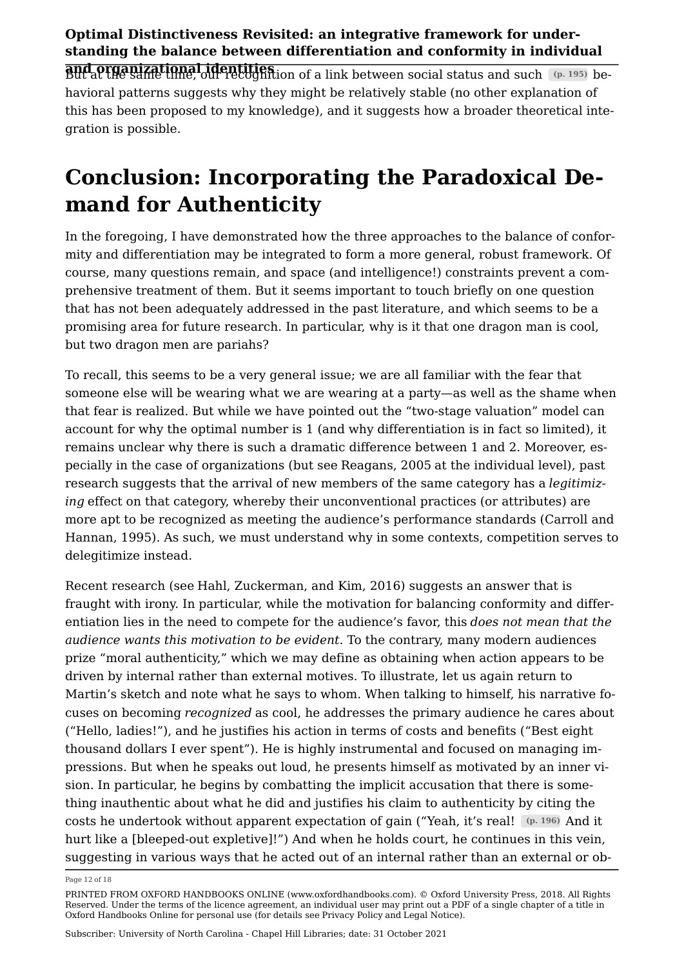and organizational identities But at the same time, our recognition of a link between social status and such (p. 195) behavioral patterns suggests why they might be relatively stable (no other explanation of this has been proposed to my knowledge), and it suggests how a broader theoretical integration is possible.

## Conclusion: Incorporating the Paradoxical Demand for Authenticity

In the foregoing, I have demonstrated how the three approaches to the balance of conformity and differentiation may be integrated to form a more general, robust framework. Of course, many questions remain, and space (and intelligence!) constraints prevent a comprehensive treatment of them. But it seems important to touch briefly on one question that has not been adequately addressed in the past literature, and which seems to be a promising area for future research. In particular, why is it that one dragon man is cool, but two dragon men are pariahs?

To recall, this seems to be a very general issue; we are all familiar with the fear that someone else will be wearing what we are wearing at a party—as well as the shame when that fear is realized. But while we have pointed out the "two-stage valuation" model can account for why the optimal number is 1 (and why differentiation is in fact so limited), it remains unclear why there is such a dramatic difference between 1 and 2. Moreover, especially in the case of organizations (but see [Reagans, 2005](#page-15-8) at the individual level), past research suggests that the arrival of new members of the same category has a legitimiz*ing* effect on that category, whereby their unconventional practices (or attributes) are more apt to be recognized as meeting the audience's performance standards ([Carroll and](#page-13-8)  [Hannan, 1995](#page-13-8)). As such, we must understand why in some contexts, competition serves to delegitimize instead.

Recent research (see [Hahl, Zuckerman, and Kim, 2016\)](#page-14-9) suggests an answer that is fraught with irony. In particular, while the motivation for balancing conformity and differentiation lies in the need to compete for the audience's favor, this *does not mean that the audience wants this motivation to be evident*. To the contrary, many modern audiences prize "moral authenticity," which we may define as obtaining when action appears to be driven by internal rather than external motives. To illustrate, let us again return to Martin's sketch and note what he says to whom. When talking to himself, his narrative focuses on becoming *recognized* as cool, he addresses the primary audience he cares about ("Hello, ladies!"), and he justifies his action in terms of costs and benefits ("Best eight thousand dollars I ever spent"). He is highly instrumental and focused on managing impressions. But when he speaks out loud, he presents himself as motivated by an inner vision. In particular, he begins by combatting the implicit accusation that there is something inauthentic about what he did and justifies his claim to authenticity by citing the costs he undertook without apparent expectation of gain ("Yeah, it's real! (p. 196) And it hurt like a [bleeped-out expletive]!") And when he holds court, he continues in this vein, suggesting in various ways that he acted out of an internal rather than an external or ob

Page 12 of 18

PRINTED FROM OXFORD HANDBOOKS ONLINE (www.oxfordhandbooks.com). © Oxford University Press, 2018. All Rights Reserved. Under the terms of the licence agreement, an individual user may print out a PDF of a single chapter of a title in Oxford Handbooks Online for personal use (for details see [Privacy Policy](https://global.oup.com/privacy) and [Legal Notice\)](https://www.oxfordhandbooks.com/page/legal-notice).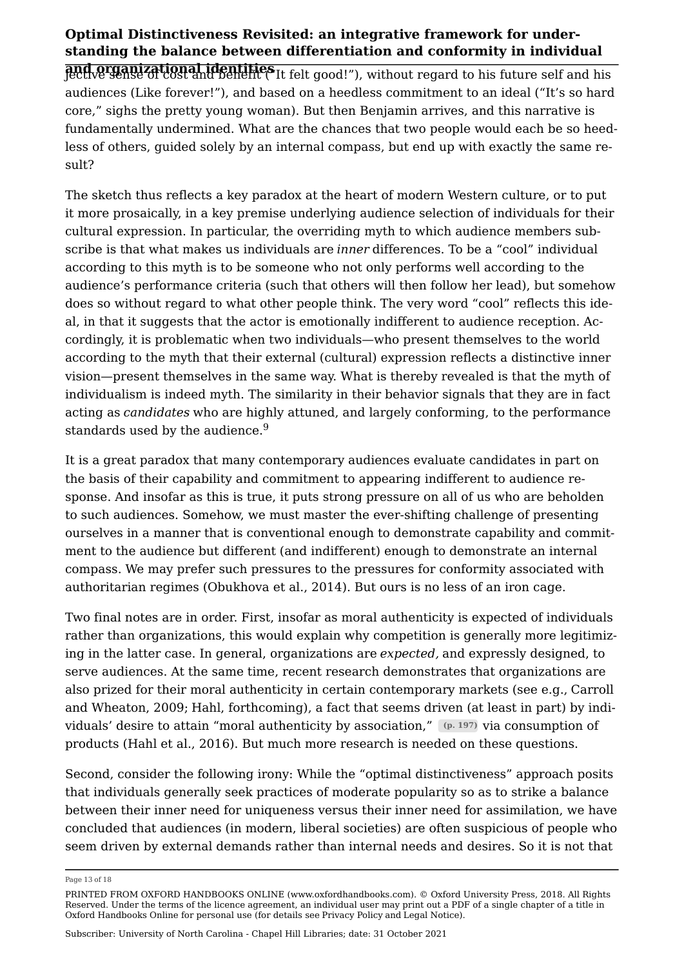and organizational identities jective sense of cost and benefit ("It felt good!"), without regard to his future self and his audiences (Like forever!"), and based on a heedless commitment to an ideal ("It's so hard core," sighs the pretty young woman). But then Benjamin arrives, and this narrative is fundamentally undermined. What are the chances that two people would each be so heedless of others, guided solely by an internal compass, but end up with exactly the same result?

The sketch thus reflects a key paradox at the heart of modern Western culture, or to put it more prosaically, in a key premise underlying audience selection of individuals for their cultural expression. In particular, the overriding myth to which audience members subscribe is that what makes us individuals are *inner* differences. To be a "cool" individual according to this myth is to be someone who not only performs well according to the audience's performance criteria (such that others will then follow her lead), but somehow does so without regard to what other people think. The very word "cool" reflects this ideal, in that it suggests that the actor is emotionally indifferent to audience reception. Accordingly, it is problematic when two individuals—who present themselves to the world according to the myth that their external (cultural) expression reflects a distinctive inner vision—present themselves in the same way. What is thereby revealed is that the myth of individualism is indeed myth. The similarity in their behavior signals that they are in fact acting as *candidates* who are highly attuned, and largely conforming, to the performance standards used by the audience.<sup>[9](#page-17-1)</sup>

<span id="page-12-0"></span>It is a great paradox that many contemporary audiences evaluate candidates in part on the basis of their capability and commitment to appearing indifferent to audience response. And insofar as this is true, it puts strong pressure on all of us who are beholden to such audiences. Somehow, we must master the ever-shifting challenge of presenting ourselves in a manner that is conventional enough to demonstrate capability and commitment to the audience but different (and indifferent) enough to demonstrate an internal compass. We may prefer such pressures to the pressures for conformity associated with authoritarian regimes ([Obukhova et al., 2014\)](#page-14-7). But ours is no less of an iron cage.

Two final notes are in order. First, insofar as moral authenticity is expected of individuals rather than organizations, this would explain why competition is generally more legitimizing in the latter case. In general, organizations are *expected,* and expressly designed, to serve audiences. At the same time, recent research demonstrates that organizations are also prized for their moral authenticity in certain contemporary markets (see e.g., [Carroll](#page-13-9) [and Wheaton, 2009](#page-13-9); [Hahl, forthcoming](#page-14-10)), a fact that seems driven (at least in part) by individuals' desire to attain "moral authenticity by association," (p. 197) via consumption of products [\(Hahl et al., 2016](#page-14-9)). But much more research is needed on these questions.

Second, consider the following irony: While the "optimal distinctiveness" approach posits that individuals generally seek practices of moderate popularity so as to strike a balance between their inner need for uniqueness versus their inner need for assimilation, we have concluded that audiences (in modern, liberal societies) are often suspicious of people who seem driven by external demands rather than internal needs and desires. So it is not that

Page 13 of 18

PRINTED FROM OXFORD HANDBOOKS ONLINE (www.oxfordhandbooks.com). © Oxford University Press, 2018. All Rights Reserved. Under the terms of the licence agreement, an individual user may print out a PDF of a single chapter of a title in Oxford Handbooks Online for personal use (for details see [Privacy Policy](https://global.oup.com/privacy) and [Legal Notice\)](https://www.oxfordhandbooks.com/page/legal-notice).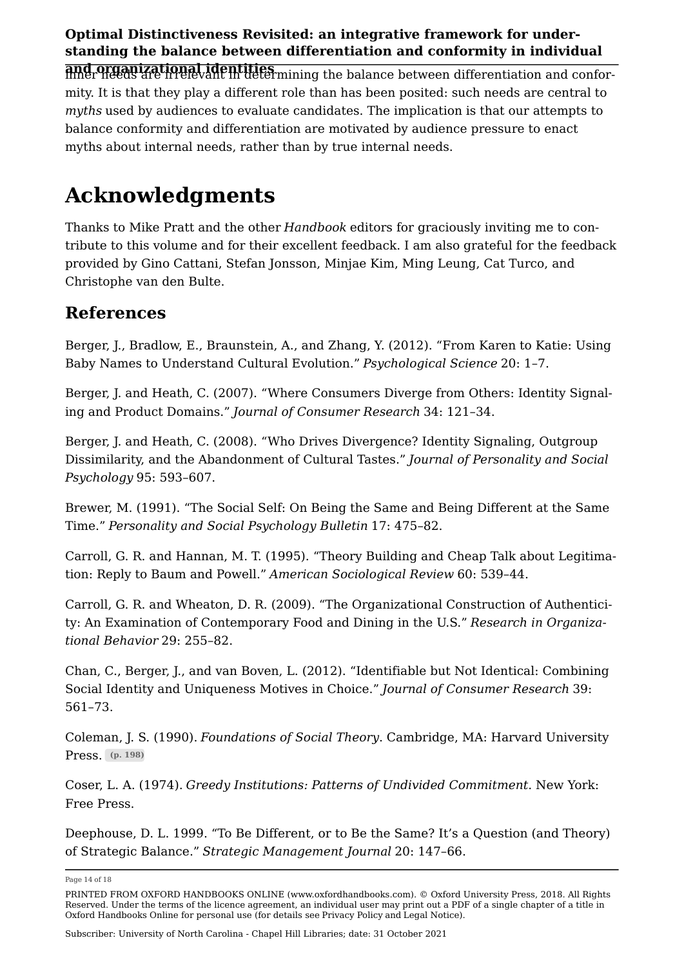and organizational identities inner needs are irrelevant in determining the balance between differentiation and conformity. It is that they play a different role than has been posited: such needs are central to *myths* used by audiences to evaluate candidates. The implication is that our attempts to balance conformity and differentiation are motivated by audience pressure to enact myths about internal needs, rather than by true internal needs.

# Acknowledgments

Thanks to Mike Pratt and the other *Handbook* editors for graciously inviting me to contribute to this volume and for their excellent feedback. I am also grateful for the feedback provided by Gino Cattani, Stefan Jonsson, Minjae Kim, Ming Leung, Cat Turco, and Christophe van den Bulte.

### References

<span id="page-13-4"></span>Berger, J., Bradlow, E., Braunstein, A., and Zhang, Y. (2012). "From Karen to Katie: Using Baby Names to Understand Cultural Evolution." *Psychological Science* 20: 1–7.

<span id="page-13-5"></span>Berger, J. and Heath, C. (2007). "Where Consumers Diverge from Others: Identity Signaling and Product Domains." *Journal of Consumer Research* 34: 121–34.

<span id="page-13-6"></span>Berger, J. and Heath, C. (2008). "Who Drives Divergence? Identity Signaling, Outgroup Dissimilarity, and the Abandonment of Cultural Tastes." *Journal of Personality and Social Psychology* 95: 593–607.

<span id="page-13-0"></span>Brewer, M. (1991). "The Social Self: On Being the Same and Being Different at the Same Time." *Personality and Social Psychology Bulletin* 17: 475–82.

<span id="page-13-8"></span>Carroll, G. R. and Hannan, M. T. (1995). "Theory Building and Cheap Talk about Legitimation: Reply to Baum and Powell." *American Sociological Review* 60: 539–44.

<span id="page-13-9"></span>Carroll, G. R. and Wheaton, D. R. (2009). "The Organizational Construction of Authenticity: An Examination of Contemporary Food and Dining in the U.S." Research in Organiza*tional Behavior* 29: 255–82.

<span id="page-13-1"></span>Chan, C., Berger, J., and van Boven, L. (2012). "Identifiable but Not Identical: Combining Social Identity and Uniqueness Motives in Choice." *Journal of Consumer Research* 39: 561–73.

<span id="page-13-3"></span>Coleman, J. S. (1990). *Foundations of Social Theory*. Cambridge, MA: Harvard University Press. (p. 198)

<span id="page-13-7"></span>Coser, L. A. (1974). *Greedy Institutions: Patterns of Undivided Commitment*. New York: Free Press.

<span id="page-13-2"></span>Deephouse, D. L. 1999. "To Be Different, or to Be the Same? It's a Question (and Theory) of Strategic Balance." *Strategic Management Journal* 20: 147–66.

Page 14 of 18

PRINTED FROM OXFORD HANDBOOKS ONLINE (www.oxfordhandbooks.com). © Oxford University Press, 2018. All Rights Reserved. Under the terms of the licence agreement, an individual user may print out a PDF of a single chapter of a title in Oxford Handbooks Online for personal use (for details see [Privacy Policy](https://global.oup.com/privacy) and [Legal Notice\)](https://www.oxfordhandbooks.com/page/legal-notice).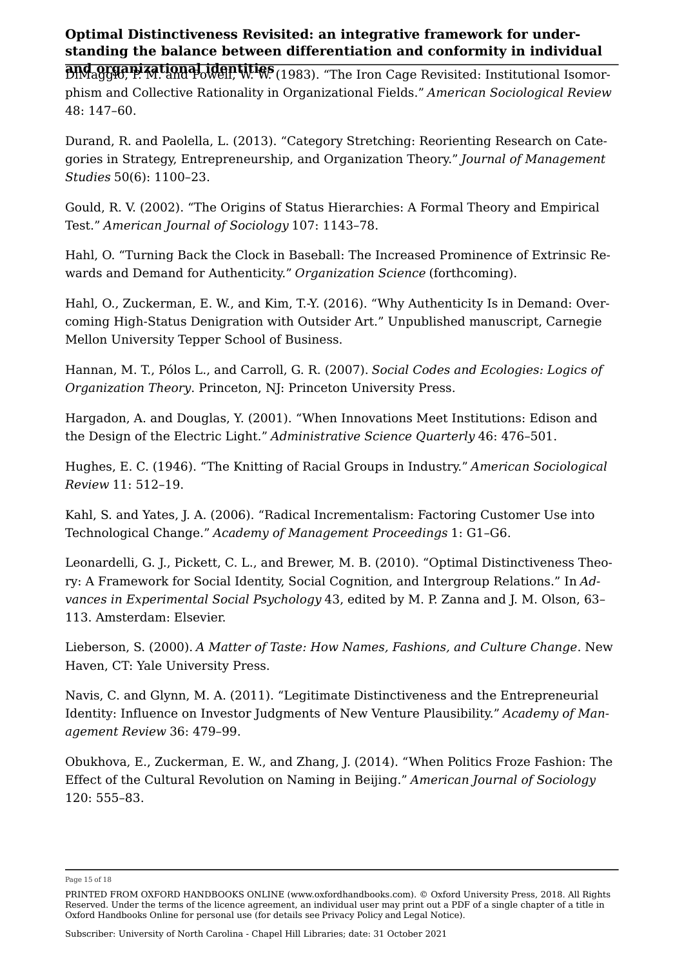<span id="page-14-6"></span>and organizational identities DiMaggio, P. M. and Powell, W. W. (1983). "The Iron Cage Revisited: Institutional Isomorphism and Collective Rationality in Organizational Fields." *American Sociological Review* 48: 147–60.

Durand, R. and Paolella, L. (2013). "Category Stretching: Reorienting Research on Categories in Strategy, Entrepreneurship, and Organization Theory." *Journal of Management Studies* 50(6): 1100–23.

<span id="page-14-1"></span>Gould, R. V. (2002). "The Origins of Status Hierarchies: A Formal Theory and Empirical Test." *American Journal of Sociology* 107: 1143–78.

<span id="page-14-10"></span>Hahl, O. "Turning Back the Clock in Baseball: The Increased Prominence of Extrinsic Rewards and Demand for Authenticity." *Organization Science* (forthcoming).

<span id="page-14-9"></span>Hahl, O., Zuckerman, E. W., and Kim, T.-Y. (2016). "Why Authenticity Is in Demand: Overcoming High-Status Denigration with Outsider Art." Unpublished manuscript, Carnegie Mellon University Tepper School of Business.

Hannan, M. T., Pólos L., and Carroll, G. R. (2007). *Social Codes and Ecologies: Logics of Organization Theory*. Princeton, NJ: Princeton University Press.

<span id="page-14-4"></span>Hargadon, A. and Douglas, Y. (2001). "When Innovations Meet Institutions: Edison and the Design of the Electric Light." *Administrative Science Quarterly* 46: 476–501.

<span id="page-14-8"></span>Hughes, E. C. (1946). "The Knitting of Racial Groups in Industry." *American Sociological Review* 11: 512–19.

<span id="page-14-3"></span>Kahl, S. and Yates, J. A. (2006). "Radical Incrementalism: Factoring Customer Use into Technological Change." *Academy of Management Proceedings* 1: G1–G6.

<span id="page-14-0"></span>Leonardelli, G. J., Pickett, C. L., and Brewer, M. B. (2010). "Optimal Distinctiveness Theory: A Framework for Social Identity, Social Cognition, and Intergroup Relations." In Ad*vances in Experimental Social Psychology* 43, edited by M. P. Zanna and J. M. Olson, 63– 113. Amsterdam: Elsevier.

<span id="page-14-2"></span>Lieberson, S. (2000). *A Matter of Taste: How Names, Fashions, and Culture Change*. New Haven, CT: Yale University Press.

<span id="page-14-5"></span>Navis, C. and Glynn, M. A. (2011). "Legitimate Distinctiveness and the Entrepreneurial Identity: Influence on Investor Judgments of New Venture Plausibility." Academy of Man*agement Review* 36: 479–99.

<span id="page-14-7"></span>Obukhova, E., Zuckerman, E. W., and Zhang, J. (2014). "When Politics Froze Fashion: The Effect of the Cultural Revolution on Naming in Beijing." *American Journal of Sociology* 120: 555–83.

Page 15 of 18

PRINTED FROM OXFORD HANDBOOKS ONLINE (www.oxfordhandbooks.com). © Oxford University Press, 2018. All Rights Reserved. Under the terms of the licence agreement, an individual user may print out a PDF of a single chapter of a title in Oxford Handbooks Online for personal use (for details see [Privacy Policy](https://global.oup.com/privacy) and [Legal Notice\)](https://www.oxfordhandbooks.com/page/legal-notice).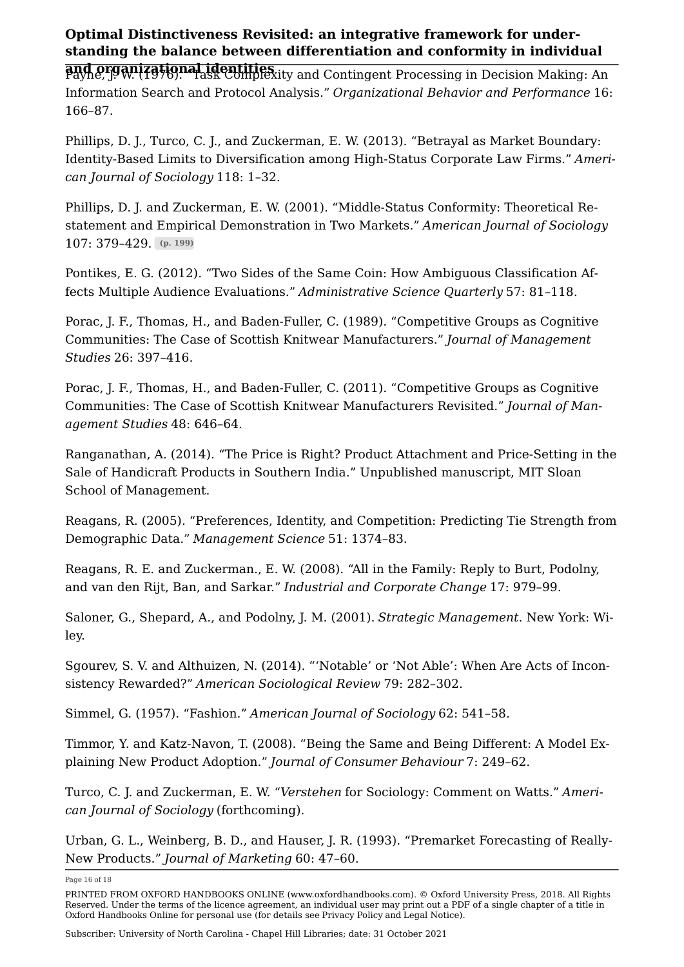and organizational identities.<br>Payne, J. W. (1976). Task Complexity and Contingent Processing in Decision Making: An Information Search and Protocol Analysis." *Organizational Behavior and Performance* 16: 166–87.

<span id="page-15-3"></span>Phillips, D. J., Turco, C. J., and Zuckerman, E. W. (2013). "Betrayal as Market Boundary: Identity-Based Limits to Diversification among High-Status Corporate Law Firms." Ameri*can Journal of Sociology* 118: 1–32.

<span id="page-15-7"></span>Phillips, D. J. and Zuckerman, E. W. (2001). "Middle-Status Conformity: Theoretical Restatement and Empirical Demonstration in Two Markets." *American Journal of Sociology* 107: 379–429. (p. 199)

Pontikes, E. G. (2012). "Two Sides of the Same Coin: How Ambiguous Classification Affects Multiple Audience Evaluations." *Administrative Science Quarterly* 57: 81–118.

Porac, J. F., Thomas, H., and Baden-Fuller, C. (1989). "Competitive Groups as Cognitive Communities: The Case of Scottish Knitwear Manufacturers." *Journal of Management Studies* 26: 397–416.

<span id="page-15-0"></span>Porac, J. F., Thomas, H., and Baden-Fuller, C. (2011). "Competitive Groups as Cognitive Communities: The Case of Scottish Knitwear Manufacturers Revisited." Journal of Man*agement Studies* 48: 646–64.

<span id="page-15-1"></span>Ranganathan, A. (2014). "The Price is Right? Product Attachment and Price-Setting in the Sale of Handicraft Products in Southern India." Unpublished manuscript, MIT Sloan School of Management.

<span id="page-15-8"></span>Reagans, R. (2005). "Preferences, Identity, and Competition: Predicting Tie Strength from Demographic Data." *Management Science* 51: 1374–83.

<span id="page-15-5"></span>Reagans, R. E. and Zuckerman., E. W. (2008). "All in the Family: Reply to Burt, Podolny, and van den Rijt, Ban, and Sarkar." *Industrial and Corporate Change* 17: 979–99.

<span id="page-15-2"></span>Saloner, G., Shepard, A., and Podolny, J. M. (2001). *Strategic Management*. New York: Wiley.

<span id="page-15-6"></span>Sgourev, S. V. and Althuizen, N. (2014). "'Notable' or 'Not Able': When Are Acts of Inconsistency Rewarded?" *American Sociological Review* 79: 282–302.

Simmel, G. (1957). "Fashion." *American Journal of Sociology* 62: 541–58.

<span id="page-15-4"></span>Timmor, Y. and Katz-Navon, T. (2008). "Being the Same and Being Different: A Model Explaining New Product Adoption." *Journal of Consumer Behaviour* 7: 249–62.

Turco, C. J. and Zuckerman, E. W. "*Verstehen* for Sociology: Comment on Watts." Ameri*can Journal of Sociology* (forthcoming).

Urban, G. L., Weinberg, B. D., and Hauser, J. R. (1993). "Premarket Forecasting of Really-New Products." *Journal of Marketing* 60: 47–60.

Page 16 of 18

PRINTED FROM OXFORD HANDBOOKS ONLINE (www.oxfordhandbooks.com). © Oxford University Press, 2018. All Rights Reserved. Under the terms of the licence agreement, an individual user may print out a PDF of a single chapter of a title in Oxford Handbooks Online for personal use (for details see [Privacy Policy](https://global.oup.com/privacy) and [Legal Notice\)](https://www.oxfordhandbooks.com/page/legal-notice).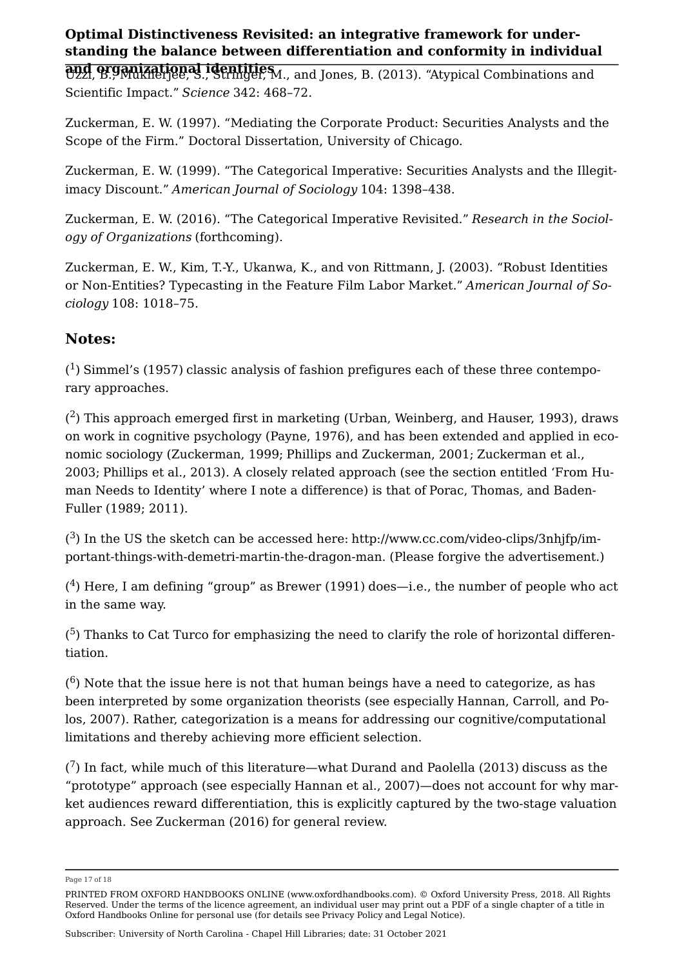<span id="page-16-4"></span>and organizational identities Uzzi, B., Mukherjee, S., Stringer, M., and Jones, B. (2013). "Atypical Combinations and Scientific Impact." *Science* 342: 468–72.

<span id="page-16-10"></span>Zuckerman, E. W. (1997). "Mediating the Corporate Product: Securities Analysts and the Scope of the Firm." Doctoral Dissertation, University of Chicago.

<span id="page-16-8"></span>Zuckerman, E. W. (1999). "The Categorical Imperative: Securities Analysts and the Illegitimacy Discount." *American Journal of Sociology* 104: 1398–438.

<span id="page-16-5"></span>Zuckerman, E. W. (2016). "The Categorical Imperative Revisited." Research in the Sociol*ogy of Organizations* (forthcoming).

Zuckerman, E. W., Kim, T.-Y., Ukanwa, K., and von Rittmann, J. (2003). "Robust Identities or Non-Entities? Typecasting in the Feature Film Labor Market." American Journal of So*ciology* 108: 1018–75.

### Notes:

<span id="page-16-0"></span> $(1)$  $(1)$  $(1)$  [Simmel's \(1957\)](https://www.oxfordhandbooks.com/view/10.1093/oxfordhb/9780199689576.001.0001/oxfordhb-9780199689576-e-22#oxfordhb-9780199689576-e-22-bibItem-637) classic analysis of fashion prefigures each of these three contemporary approaches.

<span id="page-16-1"></span> $(2)$  $(2)$  $(2)$  This approach emerged first in marketing ([Urban, Weinberg, and Hauser, 1993](https://www.oxfordhandbooks.com/view/10.1093/oxfordhb/9780199689576.001.0001/oxfordhb-9780199689576-e-22#oxfordhb-9780199689576-e-22-bibItem-640)), draws on work in cognitive psychology [\(Payne, 1976](https://www.oxfordhandbooks.com/view/10.1093/oxfordhb/9780199689576.001.0001/oxfordhb-9780199689576-e-22#oxfordhb-9780199689576-e-22-bibItem-626)), and has been extended and applied in economic sociology [\(Zuckerman, 1999](https://www.oxfordhandbooks.com/view/10.1093/oxfordhb/9780199689576.001.0001/oxfordhb-9780199689576-e-22#oxfordhb-9780199689576-e-22-bibItem-643); [Phillips and Zuckerman, 2001;](https://www.oxfordhandbooks.com/view/10.1093/oxfordhb/9780199689576.001.0001/oxfordhb-9780199689576-e-22#oxfordhb-9780199689576-e-22-bibItem-628) [Zuckerman et al.,](https://www.oxfordhandbooks.com/view/10.1093/oxfordhb/9780199689576.001.0001/oxfordhb-9780199689576-e-22#oxfordhb-9780199689576-e-22-bibItem-645) [2003](https://www.oxfordhandbooks.com/view/10.1093/oxfordhb/9780199689576.001.0001/oxfordhb-9780199689576-e-22#oxfordhb-9780199689576-e-22-bibItem-645); [Phillips et al., 2013](https://www.oxfordhandbooks.com/view/10.1093/oxfordhb/9780199689576.001.0001/oxfordhb-9780199689576-e-22#oxfordhb-9780199689576-e-22-bibItem-627)). A closely related approach (see the section entitled 'From Human Needs to Identity' where I note a difference) is that of [Porac, Thomas, and Baden-](https://www.oxfordhandbooks.com/view/10.1093/oxfordhb/9780199689576.001.0001/oxfordhb-9780199689576-e-22#oxfordhb-9780199689576-e-22-bibItem-630)[Fuller \(1989;](https://www.oxfordhandbooks.com/view/10.1093/oxfordhb/9780199689576.001.0001/oxfordhb-9780199689576-e-22#oxfordhb-9780199689576-e-22-bibItem-630) 2011).

<span id="page-16-2"></span> $(3)$  $(3)$  $(3)$  In the US the sketch can be accessed here: [http://www.cc.com/video-clips/3nhjfp/im](http://www.cc.com/video-clips/3nhjfp/important-things-with-demetri-martin-the-dragon-man)[portant-things-with-demetri-martin-the-dragon-man.](http://www.cc.com/video-clips/3nhjfp/important-things-with-demetri-martin-the-dragon-man) (Please forgive the advertisement.)

<span id="page-16-3"></span> $(4)$  $(4)$  $(4)$  Here, I am defining "group" as [Brewer \(1991\)](https://www.oxfordhandbooks.com/view/10.1093/oxfordhb/9780199689576.001.0001/oxfordhb-9780199689576-e-22#oxfordhb-9780199689576-e-22-bibItem-606) does—i.e., the number of people who act in the same way.

<span id="page-16-6"></span> $(5)$  $(5)$  $(5)$  Thanks to Cat Turco for emphasizing the need to clarify the role of horizontal differentiation.

<span id="page-16-7"></span> $(6)$  $(6)$  $(6)$  Note that the issue here is not that human beings have a need to categorize, as has been interpreted by some organization theorists (see especially [Hannan, Carroll, and Po](https://www.oxfordhandbooks.com/view/10.1093/oxfordhb/9780199689576.001.0001/oxfordhb-9780199689576-e-17#oxfordhb-9780199689576-e-17-bibItem-669)[los, 2007](https://www.oxfordhandbooks.com/view/10.1093/oxfordhb/9780199689576.001.0001/oxfordhb-9780199689576-e-17#oxfordhb-9780199689576-e-17-bibItem-669)). Rather, categorization is a means for addressing our cognitive/computational limitations and thereby achieving more efficient selection.

<span id="page-16-9"></span> $(7)$  $(7)$  $(7)$  In fact, while much of this literature—what [Durand and Paolella \(2013\)](https://www.oxfordhandbooks.com/view/10.1093/oxfordhb/9780199689576.001.0001/oxfordhb-9780199689576-e-22#oxfordhb-9780199689576-e-22-bibItem-614) discuss as the "prototype" approach (see especially [Hannan et al., 2007](https://www.oxfordhandbooks.com/view/10.1093/oxfordhb/9780199689576.001.0001/oxfordhb-9780199689576-e-22#oxfordhb-9780199689576-e-22-bibItem-618))—does not account for why market audiences reward differentiation, this is explicitly captured by the two-stage valuation approach. See [Zuckerman \(2016\)](https://www.oxfordhandbooks.com/view/10.1093/oxfordhb/9780199689576.001.0001/oxfordhb-9780199689576-e-22#oxfordhb-9780199689576-e-22-bibItem-644) for general review.

Page 17 of 18

PRINTED FROM OXFORD HANDBOOKS ONLINE (www.oxfordhandbooks.com). © Oxford University Press, 2018. All Rights Reserved. Under the terms of the licence agreement, an individual user may print out a PDF of a single chapter of a title in Oxford Handbooks Online for personal use (for details see [Privacy Policy](https://global.oup.com/privacy) and [Legal Notice\)](https://www.oxfordhandbooks.com/page/legal-notice).